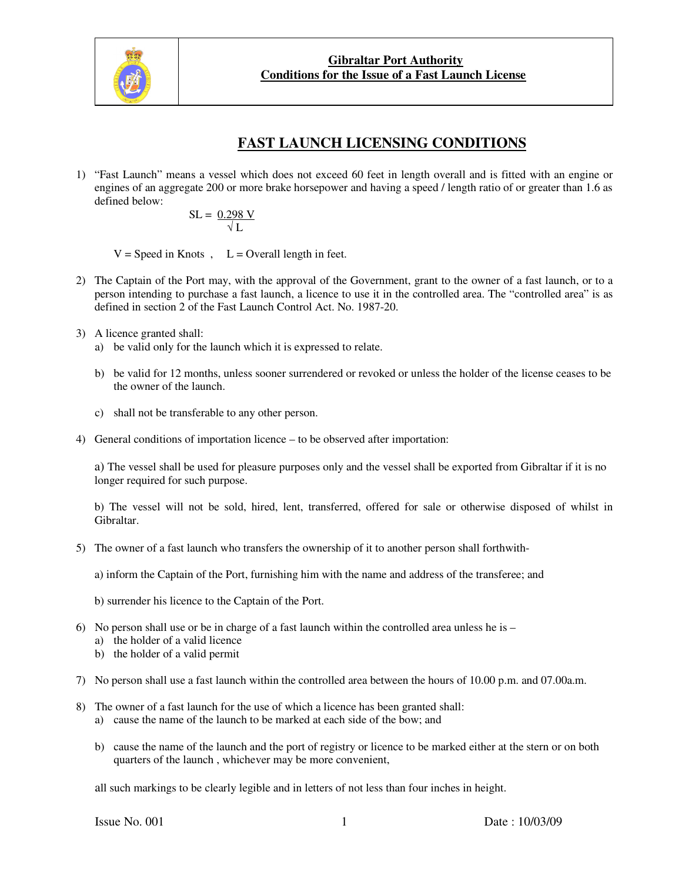

# **FAST LAUNCH LICENSING CONDITIONS**

1) "Fast Launch" means a vessel which does not exceed 60 feet in length overall and is fitted with an engine or engines of an aggregate 200 or more brake horsepower and having a speed / length ratio of or greater than 1.6 as defined below:

$$
SL = \frac{0.298 \text{ V}}{\sqrt{\text{L}}}
$$

 $V = Speed in Knots$ ,  $L = Overall length in feet$ .

- 2) The Captain of the Port may, with the approval of the Government, grant to the owner of a fast launch, or to a person intending to purchase a fast launch, a licence to use it in the controlled area. The "controlled area" is as defined in section 2 of the Fast Launch Control Act. No. 1987-20.
- 3) A licence granted shall:
	- a) be valid only for the launch which it is expressed to relate.
	- b) be valid for 12 months, unless sooner surrendered or revoked or unless the holder of the license ceases to be the owner of the launch.
	- c) shall not be transferable to any other person.
- 4) General conditions of importation licence to be observed after importation:

a) The vessel shall be used for pleasure purposes only and the vessel shall be exported from Gibraltar if it is no longer required for such purpose.

b) The vessel will not be sold, hired, lent, transferred, offered for sale or otherwise disposed of whilst in Gibraltar.

5) The owner of a fast launch who transfers the ownership of it to another person shall forthwith-

a) inform the Captain of the Port, furnishing him with the name and address of the transferee; and

- b) surrender his licence to the Captain of the Port.
- 6) No person shall use or be in charge of a fast launch within the controlled area unless he is  $$ 
	- a) the holder of a valid licence
	- b) the holder of a valid permit
- 7) No person shall use a fast launch within the controlled area between the hours of 10.00 p.m. and 07.00a.m.
- 8) The owner of a fast launch for the use of which a licence has been granted shall:
	- a) cause the name of the launch to be marked at each side of the bow; and
	- b) cause the name of the launch and the port of registry or licence to be marked either at the stern or on both quarters of the launch , whichever may be more convenient,

all such markings to be clearly legible and in letters of not less than four inches in height.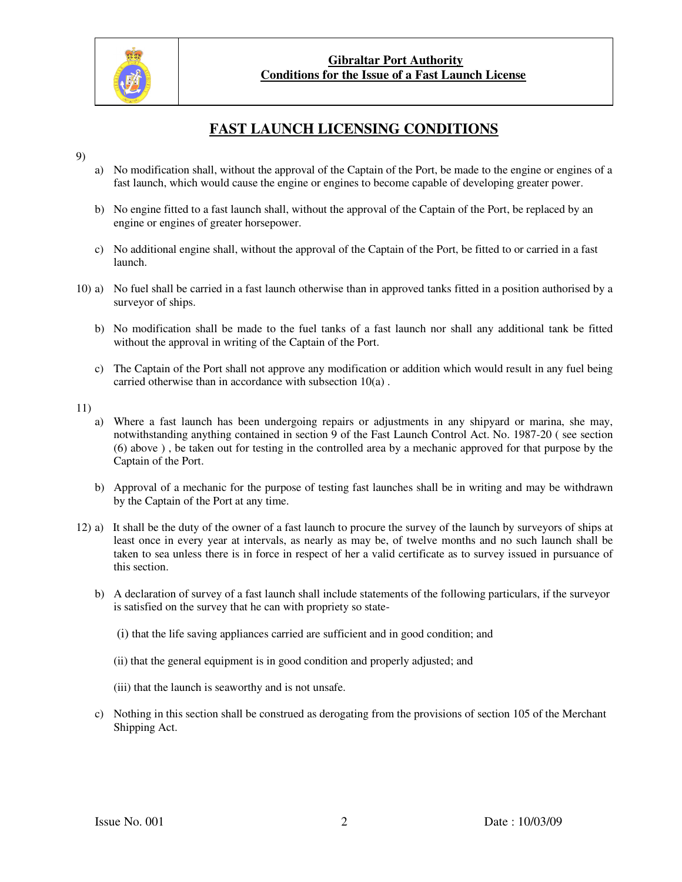

# **FAST LAUNCH LICENSING CONDITIONS**

#### 9)

- a) No modification shall, without the approval of the Captain of the Port, be made to the engine or engines of a fast launch, which would cause the engine or engines to become capable of developing greater power.
- b) No engine fitted to a fast launch shall, without the approval of the Captain of the Port, be replaced by an engine or engines of greater horsepower.
- c) No additional engine shall, without the approval of the Captain of the Port, be fitted to or carried in a fast launch.
- 10) a) No fuel shall be carried in a fast launch otherwise than in approved tanks fitted in a position authorised by a surveyor of ships.
	- b) No modification shall be made to the fuel tanks of a fast launch nor shall any additional tank be fitted without the approval in writing of the Captain of the Port.
	- c) The Captain of the Port shall not approve any modification or addition which would result in any fuel being carried otherwise than in accordance with subsection 10(a) .

11)

- a) Where a fast launch has been undergoing repairs or adjustments in any shipyard or marina, she may, notwithstanding anything contained in section 9 of the Fast Launch Control Act. No. 1987-20 ( see section (6) above ) , be taken out for testing in the controlled area by a mechanic approved for that purpose by the Captain of the Port.
- b) Approval of a mechanic for the purpose of testing fast launches shall be in writing and may be withdrawn by the Captain of the Port at any time.
- 12) a) It shall be the duty of the owner of a fast launch to procure the survey of the launch by surveyors of ships at least once in every year at intervals, as nearly as may be, of twelve months and no such launch shall be taken to sea unless there is in force in respect of her a valid certificate as to survey issued in pursuance of this section.
	- b) A declaration of survey of a fast launch shall include statements of the following particulars, if the surveyor is satisfied on the survey that he can with propriety so state-
		- (i) that the life saving appliances carried are sufficient and in good condition; and
		- (ii) that the general equipment is in good condition and properly adjusted; and
		- (iii) that the launch is seaworthy and is not unsafe.
	- c) Nothing in this section shall be construed as derogating from the provisions of section 105 of the Merchant Shipping Act.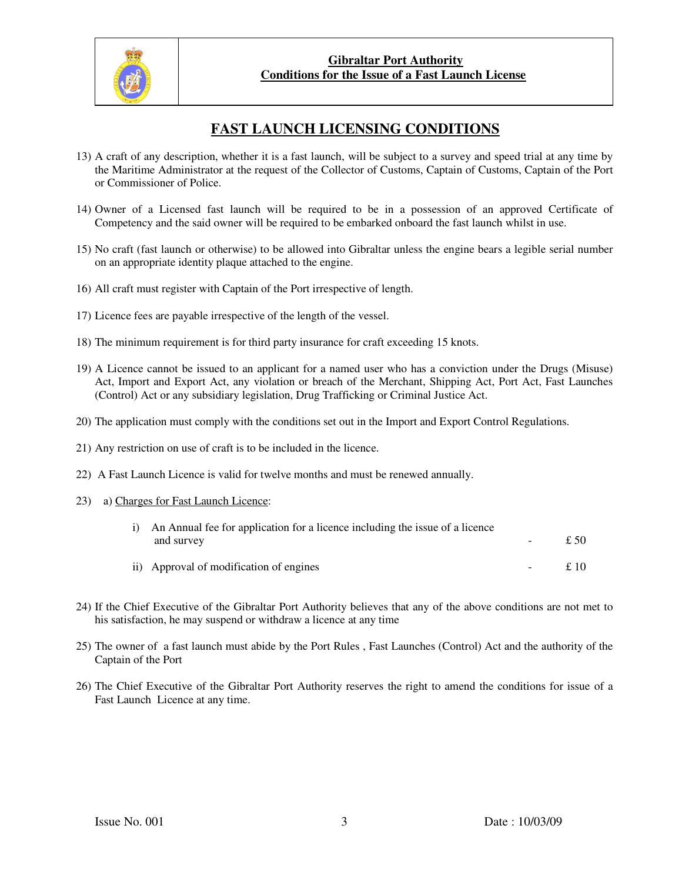

# **FAST LAUNCH LICENSING CONDITIONS**

- 13) A craft of any description, whether it is a fast launch, will be subject to a survey and speed trial at any time by the Maritime Administrator at the request of the Collector of Customs, Captain of Customs, Captain of the Port or Commissioner of Police.
- 14) Owner of a Licensed fast launch will be required to be in a possession of an approved Certificate of Competency and the said owner will be required to be embarked onboard the fast launch whilst in use.
- 15) No craft (fast launch or otherwise) to be allowed into Gibraltar unless the engine bears a legible serial number on an appropriate identity plaque attached to the engine.
- 16) All craft must register with Captain of the Port irrespective of length.
- 17) Licence fees are payable irrespective of the length of the vessel.
- 18) The minimum requirement is for third party insurance for craft exceeding 15 knots.
- 19) A Licence cannot be issued to an applicant for a named user who has a conviction under the Drugs (Misuse) Act, Import and Export Act, any violation or breach of the Merchant, Shipping Act, Port Act, Fast Launches (Control) Act or any subsidiary legislation, Drug Trafficking or Criminal Justice Act.
- 20) The application must comply with the conditions set out in the Import and Export Control Regulations.
- 21) Any restriction on use of craft is to be included in the licence.
- 22) A Fast Launch Licence is valid for twelve months and must be renewed annually.
- 23) a) Charges for Fast Launch Licence:

| i) An Annual fee for application for a licence including the issue of a licence<br>and survey | £ 50 |
|-----------------------------------------------------------------------------------------------|------|
| ii) Approval of modification of engines                                                       | £ 10 |

- 24) If the Chief Executive of the Gibraltar Port Authority believes that any of the above conditions are not met to his satisfaction, he may suspend or withdraw a licence at any time
- 25) The owner of a fast launch must abide by the Port Rules , Fast Launches (Control) Act and the authority of the Captain of the Port
- 26) The Chief Executive of the Gibraltar Port Authority reserves the right to amend the conditions for issue of a Fast Launch Licence at any time.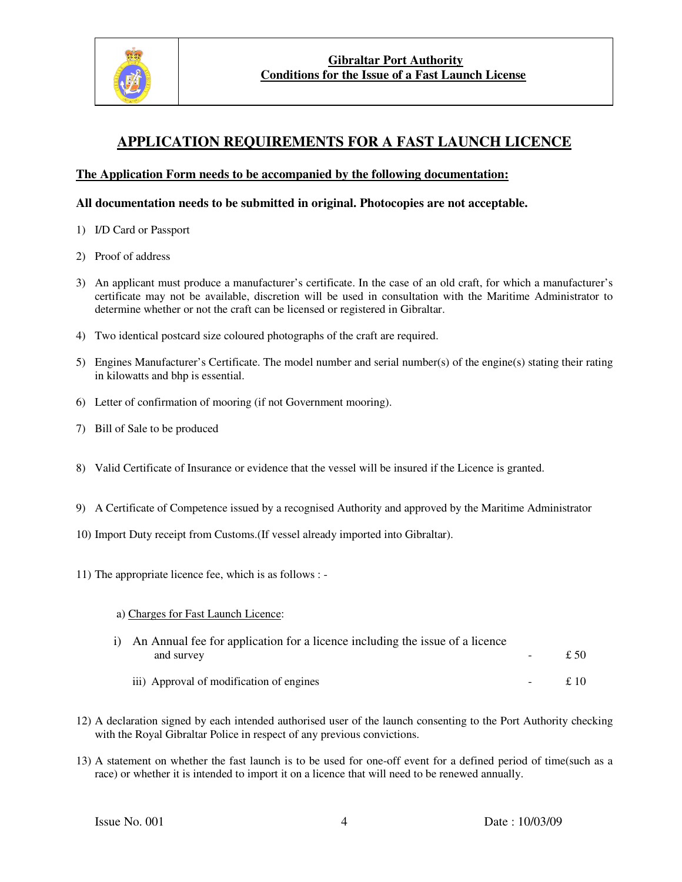

# **APPLICATION REQUIREMENTS FOR A FAST LAUNCH LICENCE**

### **The Application Form needs to be accompanied by the following documentation:**

#### **All documentation needs to be submitted in original. Photocopies are not acceptable.**

- 1) I/D Card or Passport
- 2) Proof of address
- 3) An applicant must produce a manufacturer's certificate. In the case of an old craft, for which a manufacturer's certificate may not be available, discretion will be used in consultation with the Maritime Administrator to determine whether or not the craft can be licensed or registered in Gibraltar.
- 4) Two identical postcard size coloured photographs of the craft are required.
- 5) Engines Manufacturer's Certificate. The model number and serial number(s) of the engine(s) stating their rating in kilowatts and bhp is essential.
- 6) Letter of confirmation of mooring (if not Government mooring).
- 7) Bill of Sale to be produced
- 8) Valid Certificate of Insurance or evidence that the vessel will be insured if the Licence is granted.
- 9) A Certificate of Competence issued by a recognised Authority and approved by the Maritime Administrator
- 10) Import Duty receipt from Customs.(If vessel already imported into Gibraltar).
- 11) The appropriate licence fee, which is as follows :
	- a) Charges for Fast Launch Licence:

| i) An Annual fee for application for a licence including the issue of a licence |  |     |
|---------------------------------------------------------------------------------|--|-----|
| and survey                                                                      |  | £50 |
| iii) Approval of modification of engines                                        |  | £10 |

- 12) A declaration signed by each intended authorised user of the launch consenting to the Port Authority checking with the Royal Gibraltar Police in respect of any previous convictions.
- 13) A statement on whether the fast launch is to be used for one-off event for a defined period of time(such as a race) or whether it is intended to import it on a licence that will need to be renewed annually.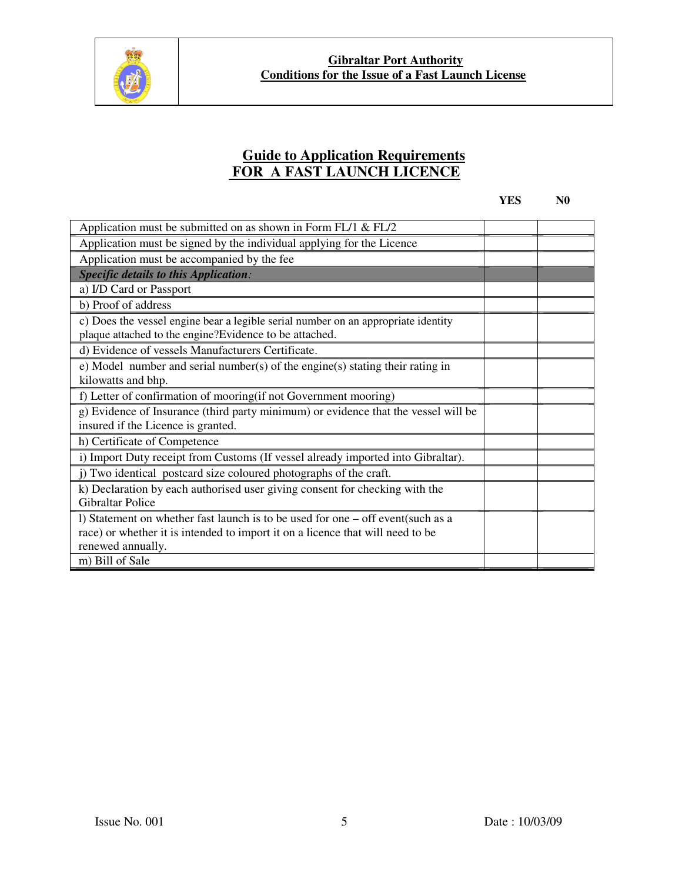

# **Guide to Application Requirements FOR A FAST LAUNCH LICENCE**

|                                                                                                                                                                                        | <b>YES</b> | N <sub>0</sub> |
|----------------------------------------------------------------------------------------------------------------------------------------------------------------------------------------|------------|----------------|
| Application must be submitted on as shown in Form FL/1 $\&$ FL/2                                                                                                                       |            |                |
| Application must be signed by the individual applying for the Licence                                                                                                                  |            |                |
| Application must be accompanied by the fee                                                                                                                                             |            |                |
| <b>Specific details to this Application:</b>                                                                                                                                           |            |                |
| a) I/D Card or Passport                                                                                                                                                                |            |                |
| b) Proof of address                                                                                                                                                                    |            |                |
| c) Does the vessel engine bear a legible serial number on an appropriate identity<br>plaque attached to the engine?Evidence to be attached.                                            |            |                |
| d) Evidence of vessels Manufacturers Certificate.                                                                                                                                      |            |                |
| e) Model number and serial number(s) of the engine(s) stating their rating in<br>kilowatts and bhp.                                                                                    |            |                |
| f) Letter of confirmation of mooring (if not Government mooring)                                                                                                                       |            |                |
| g) Evidence of Insurance (third party minimum) or evidence that the vessel will be<br>insured if the Licence is granted.                                                               |            |                |
| h) Certificate of Competence                                                                                                                                                           |            |                |
| i) Import Duty receipt from Customs (If vessel already imported into Gibraltar).                                                                                                       |            |                |
| j) Two identical postcard size coloured photographs of the craft.                                                                                                                      |            |                |
| k) Declaration by each authorised user giving consent for checking with the<br><b>Gibraltar Police</b>                                                                                 |            |                |
| 1) Statement on whether fast launch is to be used for one – off event(such as a<br>race) or whether it is intended to import it on a licence that will need to be<br>renewed annually. |            |                |
| m) Bill of Sale                                                                                                                                                                        |            |                |